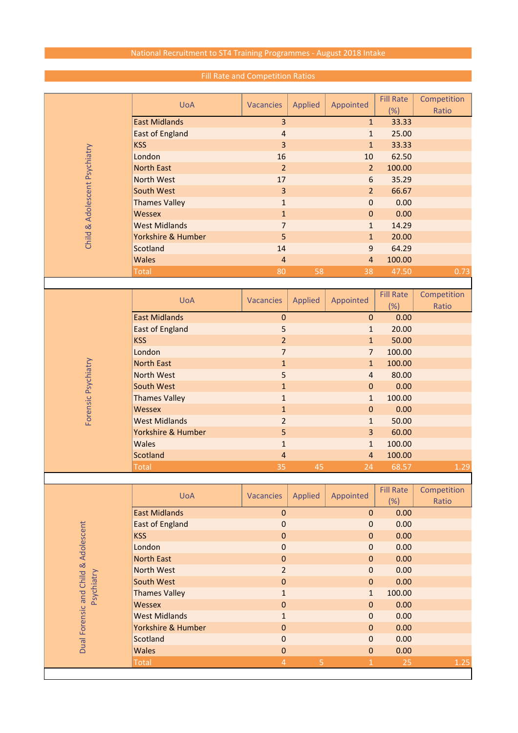## National Recruitment to ST4 Training Programmes - August 2018 Intake

|                                      | <b>UoA</b>             | Vacancies      | <b>Applied</b> | Appointed      | <b>Fill Rate</b> | Competition |
|--------------------------------------|------------------------|----------------|----------------|----------------|------------------|-------------|
|                                      |                        |                |                |                | (%)              | Ratio       |
|                                      | <b>East Midlands</b>   | 3              |                | $\mathbf{1}$   | 33.33            |             |
|                                      | <b>East of England</b> | 4              |                | $\mathbf{1}$   | 25.00            |             |
| Child & Adolescent Psychiatry        | <b>KSS</b>             | 3              |                | $\mathbf{1}$   | 33.33            |             |
|                                      | London                 | 16             |                | 10             | 62.50            |             |
|                                      | <b>North East</b>      | $\overline{2}$ |                | $\overline{2}$ | 100.00           |             |
|                                      | <b>North West</b>      | 17             |                | $6\,$          | 35.29            |             |
|                                      | <b>South West</b>      | 3              |                | $\overline{2}$ | 66.67            |             |
|                                      | <b>Thames Valley</b>   | $\mathbf{1}$   |                | $\mathbf 0$    | 0.00             |             |
|                                      | <b>Wessex</b>          | $\mathbf{1}$   |                | $\pmb{0}$      | 0.00             |             |
|                                      | <b>West Midlands</b>   | $\overline{7}$ |                | $\mathbf{1}$   | 14.29            |             |
|                                      | Yorkshire & Humber     | 5              |                | $\mathbf{1}$   | 20.00            |             |
|                                      | Scotland               | 14             |                | $\overline{9}$ | 64.29            |             |
|                                      | <b>Wales</b>           | $\overline{4}$ |                | $\overline{4}$ | 100.00           |             |
|                                      | <b>Total</b>           | 80             | 58             | 38             | 47.50            | 0.73        |
|                                      |                        |                |                |                |                  |             |
|                                      | <b>UoA</b>             | Vacancies      | <b>Applied</b> | Appointed      | <b>Fill Rate</b> | Competition |
|                                      |                        |                |                |                | (% )             | Ratio       |
|                                      | <b>East Midlands</b>   | $\mathbf 0$    |                | $\bf 0$        | 0.00             |             |
|                                      | <b>East of England</b> | 5              |                | $\mathbf{1}$   | 20.00            |             |
|                                      | <b>KSS</b>             | $\overline{2}$ |                | $\mathbf{1}$   | 50.00            |             |
|                                      | London                 | $\overline{7}$ |                | $\overline{7}$ | 100.00           |             |
|                                      | <b>North East</b>      | $\mathbf{1}$   |                | $\mathbf 1$    | 100.00           |             |
|                                      | <b>North West</b>      | 5              |                | $\overline{4}$ | 80.00            |             |
|                                      | South West             | $\mathbf{1}$   |                | $\bf 0$        | 0.00             |             |
|                                      | <b>Thames Valley</b>   | $\mathbf{1}$   |                | $\mathbf{1}$   | 100.00           |             |
| Forensic Psychiatry                  | Wessex                 | $\mathbf{1}$   |                | $\mathbf 0$    | 0.00             |             |
|                                      | <b>West Midlands</b>   | $\overline{2}$ |                | $\mathbf 1$    | 50.00            |             |
|                                      | Yorkshire & Humber     | 5              |                | 3              | 60.00            |             |
|                                      | <b>Wales</b>           | $\mathbf{1}$   |                | $\mathbf{1}$   | 100.00           |             |
|                                      | Scotland               | 4              |                | $\overline{4}$ | 100.00           |             |
|                                      | <b>Total</b>           | 35             | 45             | 24             | 68.57            | 1.29        |
|                                      |                        |                |                |                |                  |             |
|                                      | <b>UoA</b>             | Vacancies      | <b>Applied</b> | Appointed      | <b>Fill Rate</b> | Competition |
|                                      |                        |                |                |                | (%)              | Ratio       |
|                                      | <b>East Midlands</b>   | $\mathbf 0$    |                | $\mathbf{0}$   | 0.00             |             |
|                                      | <b>East of England</b> | $\mathbf 0$    |                | $\mathbf 0$    | 0.00             |             |
|                                      | <b>KSS</b>             | 0              |                | $\bf 0$        | 0.00             |             |
|                                      | London                 | $\mathbf 0$    |                | $\mathbf 0$    | 0.00             |             |
|                                      | <b>North East</b>      | 0              |                | $\mathbf 0$    | 0.00             |             |
|                                      | <b>North West</b>      | $\overline{2}$ |                | $\mathbf 0$    | 0.00             |             |
| Psychiatry                           | South West             | $\pmb{0}$      |                | $\mathbf 0$    | 0.00             |             |
|                                      | <b>Thames Valley</b>   | $\mathbf{1}$   |                | $\mathbf{1}$   | 100.00           |             |
|                                      | <b>Wessex</b>          | $\pmb{0}$      |                | $\mathbf 0$    | 0.00             |             |
|                                      | <b>West Midlands</b>   | $\mathbf{1}$   |                | $\mathbf 0$    | 0.00             |             |
| Dual Forensic and Child & Adolescent | Yorkshire & Humber     | $\pmb{0}$      |                | $\mathbf 0$    | 0.00             |             |
|                                      | Scotland               | $\mathbf 0$    |                | $\mathbf 0$    | 0.00             |             |
|                                      | <b>Wales</b>           | $\mathbf 0$    |                | $\mathbf 0$    | 0.00             |             |

Total  $\begin{array}{ccccccccccccc} 1 & 25 & 1.25 & 1.25 & 1.25 & 1.25 & 1.25 & 1.25 & 1.25 & 1.25 & 1.25 & 1.25 & 1.25 & 1.25 & 1.25 & 1.25 & 1.25 & 1.25 & 1.25 & 1.25 & 1.25 & 1.25 & 1.25 & 1.25 & 1.25 & 1.25 & 1.25 & 1.25 & 1.25 & 1.25 & 1.25 & 1.25 & 1.25 & 1.25 & 1.25$ 

## Fill Rate and Competition Ratios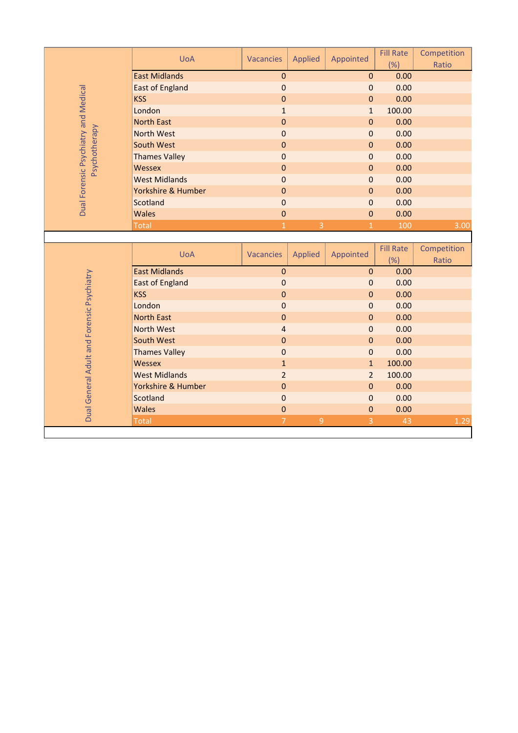| Dual Forensic Psychiatry and Medical<br>Psychotherapy | <b>UoA</b>                   | Vacancies                        | <b>Applied</b> | Appointed      | <b>Fill Rate</b><br>(%) | Competition<br>Ratio |
|-------------------------------------------------------|------------------------------|----------------------------------|----------------|----------------|-------------------------|----------------------|
|                                                       | <b>East Midlands</b>         | $\overline{0}$                   |                | $\mathbf{0}$   | 0.00                    |                      |
|                                                       | <b>East of England</b>       | $\mathbf 0$                      |                | $\pmb{0}$      | 0.00                    |                      |
|                                                       | <b>KSS</b>                   | $\overline{0}$                   |                | $\pmb{0}$      | 0.00                    |                      |
|                                                       | London                       | $\mathbf{1}$                     |                | $\mathbf{1}$   | 100.00                  |                      |
|                                                       | <b>North East</b>            | $\overline{0}$                   |                | $\mathbf 0$    | 0.00                    |                      |
|                                                       | <b>North West</b>            | $\mathbf 0$                      |                | $\pmb{0}$      | 0.00                    |                      |
|                                                       | South West                   | 0                                |                | $\mathbf{0}$   | 0.00                    |                      |
|                                                       | <b>Thames Valley</b>         | $\overline{0}$                   |                | $\mathbf 0$    | 0.00                    |                      |
|                                                       | Wessex                       | $\mathbf 0$                      |                | $\mathbf{0}$   | 0.00                    |                      |
|                                                       | <b>West Midlands</b>         | $\overline{0}$                   |                | $\mathbf 0$    | 0.00                    |                      |
|                                                       | Yorkshire & Humber           | 0                                |                | $\pmb{0}$      | 0.00                    |                      |
|                                                       | Scotland                     | $\overline{0}$                   |                | $\mathbf 0$    | 0.00                    |                      |
|                                                       | Wales                        | $\overline{0}$                   |                | $\mathbf{0}$   | 0.00                    |                      |
|                                                       | <b>Total</b>                 | $\overline{1}$                   | $\overline{3}$ | $\mathbf{1}$   | 100                     | 3.00                 |
|                                                       |                              |                                  |                |                |                         |                      |
|                                                       |                              |                                  |                |                |                         |                      |
|                                                       | <b>UoA</b>                   | Vacancies                        | <b>Applied</b> | Appointed      | <b>Fill Rate</b><br>(%) | Competition<br>Ratio |
|                                                       | <b>East Midlands</b>         | $\mathbf 0$                      |                | $\mathbf{0}$   | 0.00                    |                      |
|                                                       | <b>East of England</b>       | $\overline{0}$                   |                | $\mathbf 0$    | 0.00                    |                      |
|                                                       | <b>KSS</b>                   | 0                                |                | $\pmb{0}$      | 0.00                    |                      |
|                                                       | London                       | $\overline{0}$                   |                | $\mathbf 0$    | 0.00                    |                      |
|                                                       | <b>North East</b>            | $\mathbf 0$                      |                | $\mathbf{0}$   | 0.00                    |                      |
|                                                       | North West                   | $\overline{\mathbf{r}}$          |                | $\mathbf 0$    | 0.00                    |                      |
|                                                       | South West                   | $\mathbf 0$                      |                | $\mathbf 0$    | 0.00                    |                      |
|                                                       | <b>Thames Valley</b>         | $\overline{0}$                   |                | $\mathbf{0}$   | 0.00                    |                      |
|                                                       | Wessex                       | $\mathbf{1}$                     |                | $\mathbf{1}$   | 100.00                  |                      |
|                                                       | <b>West Midlands</b>         | $\overline{2}$                   |                | $\overline{2}$ | 100.00                  |                      |
|                                                       | Yorkshire & Humber           | $\mathbf 0$                      |                | $\mathbf 0$    | 0.00                    |                      |
|                                                       | Scotland                     | 0                                |                | $\mathbf 0$    | 0.00                    |                      |
| Dual General Adult and Forensic Psychiatry            | <b>Wales</b><br><b>Total</b> | $\overline{0}$<br>$\overline{7}$ | $\overline{9}$ | $\pmb{0}$<br>3 | 0.00<br>43              | 1.29                 |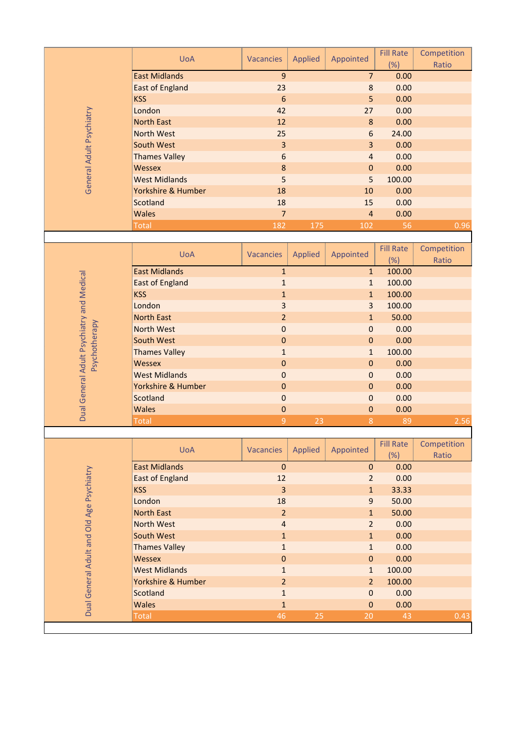|                                           | <b>UoA</b>             | <b>Vacancies</b> | <b>Applied</b> | Appointed      | <b>Fill Rate</b> | Competition |
|-------------------------------------------|------------------------|------------------|----------------|----------------|------------------|-------------|
|                                           | <b>East Midlands</b>   | $\overline{9}$   |                | $\overline{7}$ | (%)<br>0.00      | Ratio       |
| General Adult Psychiatry                  | <b>East of England</b> | 23               |                | 8              | 0.00             |             |
|                                           | <b>KSS</b>             | $6\phantom{1}6$  |                | 5              | 0.00             |             |
|                                           | London                 | 42               |                | 27             | 0.00             |             |
|                                           | <b>North East</b>      | 12               |                | 8              | 0.00             |             |
|                                           | <b>North West</b>      | 25               |                | $6\,$          | 24.00            |             |
|                                           | South West             | 3                |                | 3              | 0.00             |             |
|                                           | <b>Thames Valley</b>   | $6\phantom{1}6$  |                | $\overline{4}$ | 0.00             |             |
|                                           | <b>Wessex</b>          | $\boldsymbol{8}$ |                | $\mathbf 0$    | 0.00             |             |
|                                           | <b>West Midlands</b>   | 5                |                | 5              | 100.00           |             |
|                                           | Yorkshire & Humber     | 18               |                | 10             | 0.00             |             |
|                                           | Scotland               | 18               |                | 15             | 0.00             |             |
|                                           | <b>Wales</b>           | $\overline{7}$   |                | $\overline{4}$ | 0.00             |             |
|                                           | <b>Total</b>           | 182              | 175            | 102            | 56               | 0.96        |
|                                           |                        |                  |                |                |                  |             |
|                                           | <b>UoA</b>             | <b>Vacancies</b> | <b>Applied</b> | Appointed      | <b>Fill Rate</b> | Competition |
|                                           |                        |                  |                |                | (%)              | Ratio       |
|                                           | <b>East Midlands</b>   | $\mathbf{1}$     |                | $\mathbf{1}$   | 100.00           |             |
|                                           | <b>East of England</b> | $\mathbf{1}$     |                | $\mathbf{1}$   | 100.00           |             |
|                                           | <b>KSS</b>             | $\mathbf{1}$     |                | $\mathbf{1}$   | 100.00           |             |
|                                           | London                 | 3                |                | $\overline{3}$ | 100.00           |             |
|                                           | <b>North East</b>      | $\overline{2}$   |                | $\mathbf{1}$   | 50.00            |             |
|                                           | <b>North West</b>      | $\mathbf 0$      |                | $\mathbf 0$    | 0.00             |             |
| Psychotherapy                             | South West             | $\bf{0}$         |                | $\pmb{0}$      | 0.00             |             |
|                                           | <b>Thames Valley</b>   | $\mathbf{1}$     |                | $\mathbf{1}$   | 100.00           |             |
|                                           | <b>Wessex</b>          | $\pmb{0}$        |                | $\pmb{0}$      | 0.00             |             |
|                                           | <b>West Midlands</b>   | $\mathbf 0$      |                | $\mathbf 0$    | 0.00             |             |
| General Adult Psychiatry and Medical      | Yorkshire & Humber     | $\mathbf 0$      |                | $\mathbf 0$    | 0.00             |             |
|                                           | Scotland               | $\mathbf 0$      |                | 0              | 0.00             |             |
| Dual                                      | <b>Wales</b>           | $\pmb{0}$        |                | $\pmb{0}$      | 0.00             |             |
|                                           | <b>Total</b>           | $\overline{9}$   | 23             | 8              | 89               | 2.56        |
|                                           | <b>UoA</b>             | <b>Vacancies</b> | <b>Applied</b> | Appointed      | <b>Fill Rate</b> | Competition |
|                                           |                        |                  |                | (%)            | Ratio            |             |
|                                           | <b>East Midlands</b>   | $\pmb{0}$        |                | $\mathbf{0}$   | 0.00             |             |
|                                           | <b>East of England</b> | 12               |                | $\overline{2}$ | 0.00             |             |
|                                           | <b>KSS</b>             | $\overline{3}$   |                | $\mathbf{1}$   | 33.33            |             |
|                                           | London                 | 18               |                | $\mathsf 9$    | 50.00            |             |
|                                           | <b>North East</b>      | $\overline{2}$   |                | $\mathbf{1}$   | 50.00            |             |
|                                           | <b>North West</b>      | $\overline{a}$   |                | $\overline{2}$ | 0.00             |             |
|                                           | <b>South West</b>      | $\mathbf 1$      |                | $\mathbf{1}$   | 0.00             |             |
|                                           | <b>Thames Valley</b>   | $\mathbf{1}$     |                | $\mathbf{1}$   | 0.00             |             |
|                                           | Wessex                 | $\pmb{0}$        |                | $\mathbf 0$    | 0.00             |             |
|                                           | <b>West Midlands</b>   | $\mathbf{1}$     |                | $\mathbf{1}$   | 100.00           |             |
|                                           | Yorkshire & Humber     | $\overline{2}$   |                | $\overline{2}$ | 100.00           |             |
|                                           | <b>Scotland</b>        | $\mathbf 1$      |                | $\mathbf 0$    | 0.00             |             |
| Dual General Adult and Old Age Psychiatry | <b>Wales</b>           | $\mathbf{1}$     |                | $\mathbf 0$    | 0.00             |             |
|                                           | <b>Total</b>           | 46               | 25             | 20             | 43               | 0.43        |
|                                           |                        |                  |                |                |                  |             |